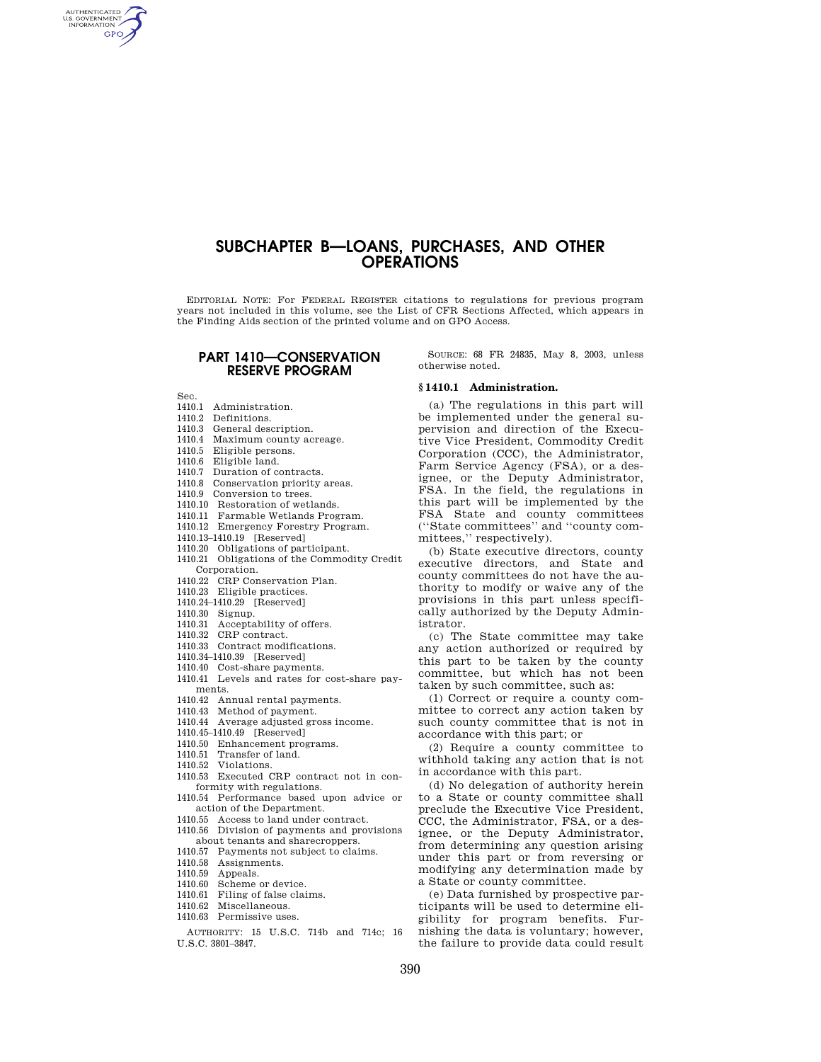# **SUBCHAPTER B—LOANS, PURCHASES, AND OTHER OPERATIONS**

EDITORIAL NOTE: For FEDERAL REGISTER citations to regulations for previous program years not included in this volume, see the List of CFR Sections Affected, which appears in the Finding Aids section of the printed volume and on GPO Access.

## **PART 1410—CONSERVATION RESERVE PROGRAM**

Sec.

AUTHENTICATED<br>U.S. GOVERNMENT<br>INFORMATION **GPO** 

- 1410.1 Administration.
- 1410.2 Definitions.
- 1410.3 General description.
- 1410.4 Maximum county acreage.
- 1410.5 Eligible persons.
- 1410.6 Eligible land.
- 1410.7 Duration of contracts.
- 1410.8 Conservation priority areas.
- 1410.9 Conversion to trees.
- 1410.10 Restoration of wetlands.
- 1410.11 Farmable Wetlands Program.
- 1410.12 Emergency Forestry Program.
- 1410.13–1410.19 [Reserved]
- 1410.20 Obligations of participant.
- 1410.21 Obligations of the Commodity Credit Corporation.
- 1410.22 CRP Conservation Plan.
- 1410.23 Eligible practices.
- 1410.24–1410.29 [Reserved]
- 1410.30 Signup.
- 1410.31 Acceptability of offers.
- 1410.32 CRP contract.
- 1410.33 Contract modifications.
- 
- 1410.34–1410.39 [Reserved] 1410.40 Cost-share payments.
- 1410.41 Levels and rates for cost-share payments.
- 1410.42 Annual rental payments.
- 1410.43 Method of payment.
- 1410.44 Average adjusted gross income.
- 1410.45–1410.49 [Reserved]
- 1410.50 Enhancement programs.
- 1410.51 Transfer of land.<br>1410.52 Violations
- Violations.
- 1410.53 Executed CRP contract not in conformity with regulations.
- 1410.54 Performance based upon advice or action of the Department.
- 1410.55 Access to land under contract.
- 1410.56 Division of payments and provisions about tenants and sharecroppers.
- 1410.57 Payments not subject to claims.
- 1410.58 Assignments.
- 1410.59 Appeals.
- 1410.60 Scheme or device.
- 1410.61 Filing of false claims.
- 1410.62 Miscellaneous.
- 1410.63 Permissive uses.

AUTHORITY: 15 U.S.C. 714b and 714c; 16 U.S.C. 3801–3847.

SOURCE: 68 FR 24835, May 8, 2003, unless otherwise noted.

#### **§ 1410.1 Administration.**

(a) The regulations in this part will be implemented under the general supervision and direction of the Executive Vice President, Commodity Credit Corporation (CCC), the Administrator, Farm Service Agency (FSA), or a designee, or the Deputy Administrator, FSA. In the field, the regulations in this part will be implemented by the FSA State and county committees (''State committees'' and ''county committees,'' respectively).

(b) State executive directors, county executive directors, and State and county committees do not have the authority to modify or waive any of the provisions in this part unless specifically authorized by the Deputy Administrator.

(c) The State committee may take any action authorized or required by this part to be taken by the county committee, but which has not been taken by such committee, such as:

(1) Correct or require a county committee to correct any action taken by such county committee that is not in accordance with this part; or

(2) Require a county committee to withhold taking any action that is not in accordance with this part.

(d) No delegation of authority herein to a State or county committee shall preclude the Executive Vice President, CCC, the Administrator, FSA, or a designee, or the Deputy Administrator, from determining any question arising under this part or from reversing or modifying any determination made by a State or county committee.

(e) Data furnished by prospective participants will be used to determine eligibility for program benefits. Furnishing the data is voluntary; however, the failure to provide data could result